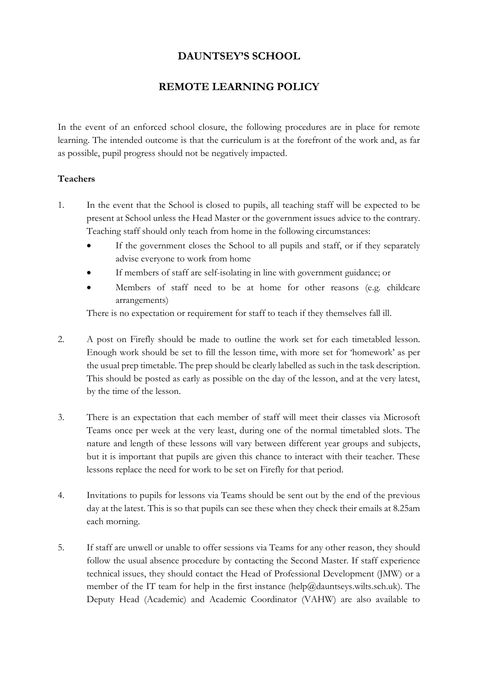# **DAUNTSEY'S SCHOOL**

# **REMOTE LEARNING POLICY**

In the event of an enforced school closure, the following procedures are in place for remote learning. The intended outcome is that the curriculum is at the forefront of the work and, as far as possible, pupil progress should not be negatively impacted.

# **Teachers**

- 1. In the event that the School is closed to pupils, all teaching staff will be expected to be present at School unless the Head Master or the government issues advice to the contrary. Teaching staff should only teach from home in the following circumstances:
	- If the government closes the School to all pupils and staff, or if they separately advise everyone to work from home
	- If members of staff are self-isolating in line with government guidance; or
	- Members of staff need to be at home for other reasons (e.g. childcare arrangements)

There is no expectation or requirement for staff to teach if they themselves fall ill.

- 2. A post on Firefly should be made to outline the work set for each timetabled lesson. Enough work should be set to fill the lesson time, with more set for 'homework' as per the usual prep timetable. The prep should be clearly labelled as such in the task description. This should be posted as early as possible on the day of the lesson, and at the very latest, by the time of the lesson.
- 3. There is an expectation that each member of staff will meet their classes via Microsoft Teams once per week at the very least, during one of the normal timetabled slots. The nature and length of these lessons will vary between different year groups and subjects, but it is important that pupils are given this chance to interact with their teacher. These lessons replace the need for work to be set on Firefly for that period.
- 4. Invitations to pupils for lessons via Teams should be sent out by the end of the previous day at the latest. This is so that pupils can see these when they check their emails at 8.25am each morning.
- 5. If staff are unwell or unable to offer sessions via Teams for any other reason, they should follow the usual absence procedure by contacting the Second Master. If staff experience technical issues, they should contact the Head of Professional Development (JMW) or a member of the IT team for help in the first instance (help@dauntseys.wilts.sch.uk). The Deputy Head (Academic) and Academic Coordinator (VAHW) are also available to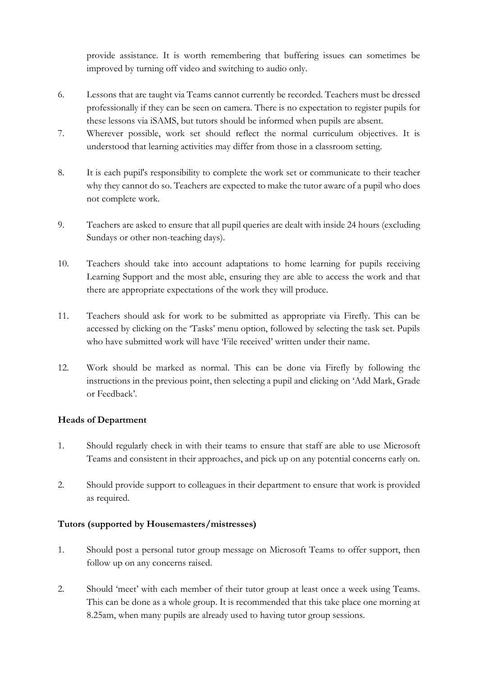provide assistance. It is worth remembering that buffering issues can sometimes be improved by turning off video and switching to audio only.

- 6. Lessons that are taught via Teams cannot currently be recorded. Teachers must be dressed professionally if they can be seen on camera. There is no expectation to register pupils for these lessons via iSAMS, but tutors should be informed when pupils are absent.
- 7. Wherever possible, work set should reflect the normal curriculum objectives. It is understood that learning activities may differ from those in a classroom setting.
- 8. It is each pupil's responsibility to complete the work set or communicate to their teacher why they cannot do so. Teachers are expected to make the tutor aware of a pupil who does not complete work.
- 9. Teachers are asked to ensure that all pupil queries are dealt with inside 24 hours (excluding Sundays or other non-teaching days).
- 10. Teachers should take into account adaptations to home learning for pupils receiving Learning Support and the most able, ensuring they are able to access the work and that there are appropriate expectations of the work they will produce.
- 11. Teachers should ask for work to be submitted as appropriate via Firefly. This can be accessed by clicking on the 'Tasks' menu option, followed by selecting the task set. Pupils who have submitted work will have 'File received' written under their name.
- 12. Work should be marked as normal. This can be done via Firefly by following the instructions in the previous point, then selecting a pupil and clicking on 'Add Mark, Grade or Feedback'.

# **Heads of Department**

- 1. Should regularly check in with their teams to ensure that staff are able to use Microsoft Teams and consistent in their approaches, and pick up on any potential concerns early on.
- 2. Should provide support to colleagues in their department to ensure that work is provided as required.

# **Tutors (supported by Housemasters/mistresses)**

- 1. Should post a personal tutor group message on Microsoft Teams to offer support, then follow up on any concerns raised.
- 2. Should 'meet' with each member of their tutor group at least once a week using Teams. This can be done as a whole group. It is recommended that this take place one morning at 8.25am, when many pupils are already used to having tutor group sessions.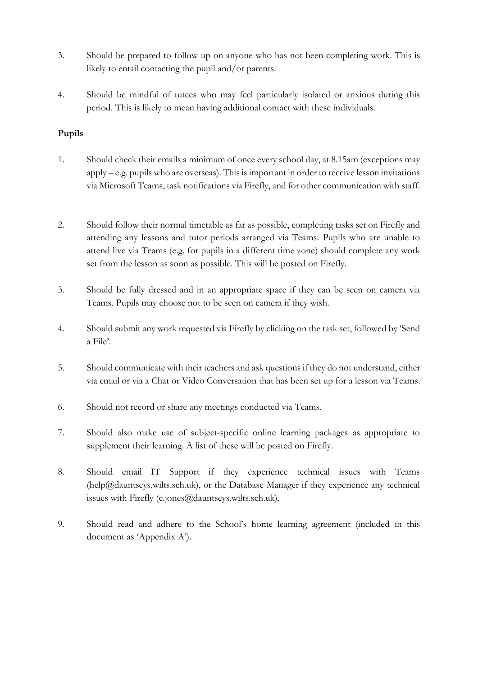- 3. Should be prepared to follow up on anyone who has not been completing work. This is likely to entail contacting the pupil and/or parents.
- 4. Should be mindful of tutees who may feel particularly isolated or anxious during this period. This is likely to mean having additional contact with these individuals.

# **Pupils**

- 1. Should check their emails a minimum of once every school day, at 8.15am (exceptions may apply – e.g. pupils who are overseas). This is important in order to receive lesson invitations via Microsoft Teams, task notifications via Firefly, and for other communication with staff.
- 2. Should follow their normal timetable as far as possible, completing tasks set on Firefly and attending any lessons and tutor periods arranged via Teams. Pupils who are unable to attend live via Teams (e.g. for pupils in a different time zone) should complete any work set from the lesson as soon as possible. This will be posted on Firefly.
- 3. Should be fully dressed and in an appropriate space if they can be seen on camera via Teams. Pupils may choose not to be seen on camera if they wish.
- 4. Should submit any work requested via Firefly by clicking on the task set, followed by 'Send a File'.
- 5. Should communicate with their teachers and ask questions if they do not understand, either via email or via a Chat or Video Conversation that has been set up for a lesson via Teams.
- 6. Should not record or share any meetings conducted via Teams.
- 7. Should also make use of subject-specific online learning packages as appropriate to supplement their learning. A list of these will be posted on Firefly.
- 8. Should email IT Support if they experience technical issues with Teams (help@dauntseys.wilts.sch.uk), or the Database Manager if they experience any technical issues with Firefly (c.jones@dauntseys.wilts.sch.uk).
- 9. Should read and adhere to the School's home learning agreement (included in this document as 'Appendix A').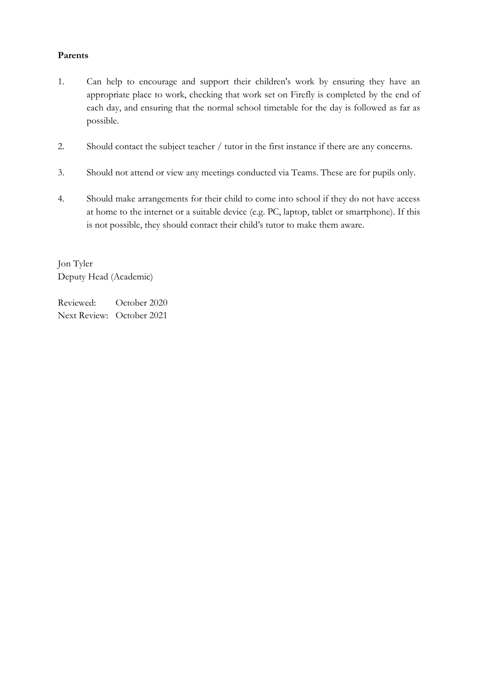#### **Parents**

- 1. Can help to encourage and support their children's work by ensuring they have an appropriate place to work, checking that work set on Firefly is completed by the end of each day, and ensuring that the normal school timetable for the day is followed as far as possible.
- 2. Should contact the subject teacher / tutor in the first instance if there are any concerns.
- 3. Should not attend or view any meetings conducted via Teams. These are for pupils only.
- 4. Should make arrangements for their child to come into school if they do not have access at home to the internet or a suitable device (e.g. PC, laptop, tablet or smartphone). If this is not possible, they should contact their child's tutor to make them aware.

Jon Tyler Deputy Head (Academic)

Reviewed: October 2020 Next Review: October 2021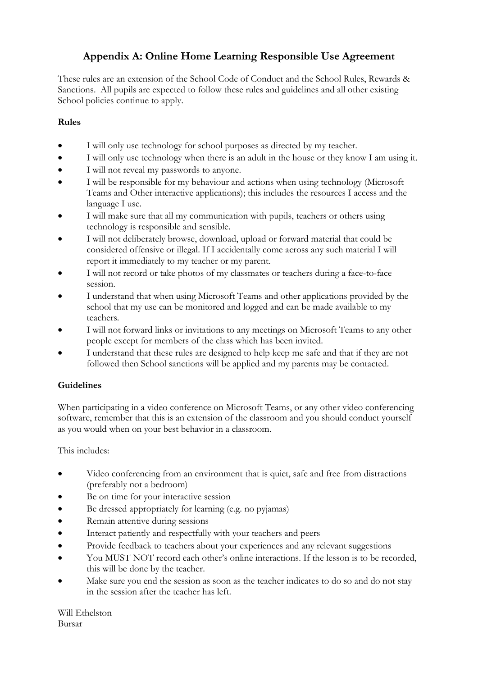# **Appendix A: Online Home Learning Responsible Use Agreement**

These rules are an extension of the School Code of Conduct and the School Rules, Rewards & Sanctions. All pupils are expected to follow these rules and guidelines and all other existing School policies continue to apply.

# **Rules**

- I will only use technology for school purposes as directed by my teacher.
- I will only use technology when there is an adult in the house or they know I am using it.
- I will not reveal my passwords to anyone.
- I will be responsible for my behaviour and actions when using technology (Microsoft Teams and Other interactive applications); this includes the resources I access and the language I use.
- I will make sure that all my communication with pupils, teachers or others using technology is responsible and sensible.
- I will not deliberately browse, download, upload or forward material that could be considered offensive or illegal. If I accidentally come across any such material I will report it immediately to my teacher or my parent.
- I will not record or take photos of my classmates or teachers during a face-to-face session.
- I understand that when using Microsoft Teams and other applications provided by the school that my use can be monitored and logged and can be made available to my teachers.
- I will not forward links or invitations to any meetings on Microsoft Teams to any other people except for members of the class which has been invited.
- I understand that these rules are designed to help keep me safe and that if they are not followed then School sanctions will be applied and my parents may be contacted.

# **Guidelines**

When participating in a video conference on Microsoft Teams, or any other video conferencing software, remember that this is an extension of the classroom and you should conduct yourself as you would when on your best behavior in a classroom.

# This includes:

- Video conferencing from an environment that is quiet, safe and free from distractions (preferably not a bedroom)
- Be on time for your interactive session
- Be dressed appropriately for learning (e.g. no pyjamas)
- Remain attentive during sessions
- Interact patiently and respectfully with your teachers and peers
- Provide feedback to teachers about your experiences and any relevant suggestions
- You MUST NOT record each other's online interactions. If the lesson is to be recorded, this will be done by the teacher.
- Make sure you end the session as soon as the teacher indicates to do so and do not stay in the session after the teacher has left.

Will Ethelston Bursar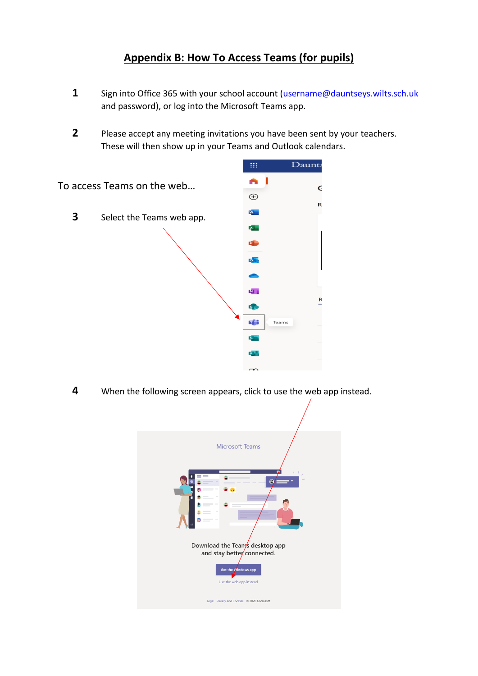# **Appendix B: How To Access Teams (for pupils)**

- **1** Sign into Office 365 with your school account [\(username@dauntseys.wilts.sch.uk](mailto:username@dauntseys.wilts.sch.uk) and password), or log into the Microsoft Teams app.
- **2** Please accept any meeting invitations you have been sent by your teachers. These will then show up in your Teams and Outlook calendars.



**4** When the following screen appears, click to use the web app instead.

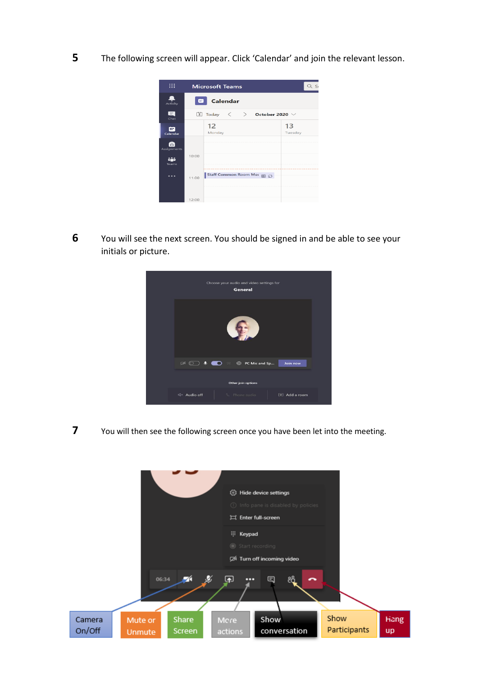**5** The following screen will appear. Click 'Calendar' and join the relevant lesson.



**6** You will see the next screen. You should be signed in and be able to see your initials or picture.



**7** You will then see the following screen once you have been let into the meeting.